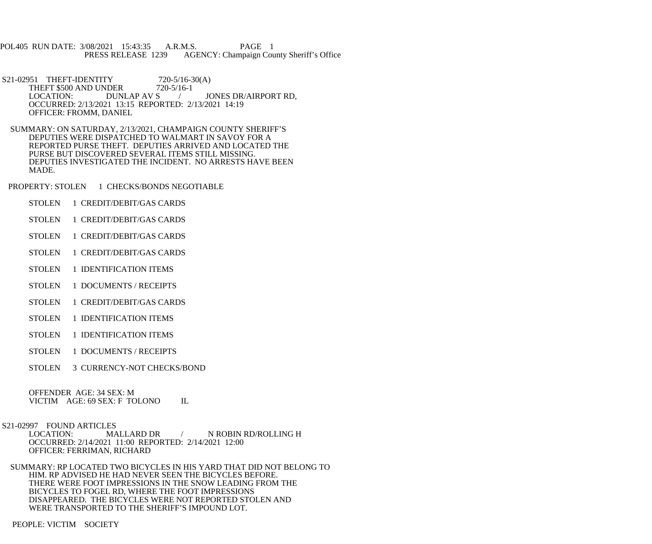POL405 RUN DATE: 3/08/2021 15:43:35 A.R.M.S. PAGE 1<br>PRESS RELEASE 1239 AGENCY: Champaign Cou AGENCY: Champaign County Sheriff's Office

- S21-02951 THEFT-IDENTITY 720-5/16-30(A)<br>THEFT \$500 AND UNDER 720-5/16-1 THEFT \$500 AND UNDER 77<br>LOCATION: DUNLAP AV S LOCATION: DUNLAP AV S / JONES DR/AIRPORT RD, OCCURRED: 2/13/2021 13:15 REPORTED: 2/13/2021 14:19 OFFICER: FROMM, DANIEL
- SUMMARY: ON SATURDAY, 2/13/2021, CHAMPAIGN COUNTY SHERIFF'S DEPUTIES WERE DISPATCHED TO WALMART IN SAVOY FOR A REPORTED PURSE THEFT. DEPUTIES ARRIVED AND LOCATED THE PURSE BUT DISCOVERED SEVERAL ITEMS STILL MISSING. DEPUTIES INVESTIGATED THE INCIDENT. NO ARRESTS HAVE BEEN MADE.

PROPERTY: STOLEN 1 CHECKS/BONDS NEGOTIABLE

- STOLEN 1 CREDIT/DEBIT/GAS CARDS
- STOLEN 1 CREDIT/DEBIT/GAS CARDS
- STOLEN 1 CREDIT/DEBIT/GAS CARDS
- STOLEN 1 CREDIT/DEBIT/GAS CARDS
- STOLEN 1 IDENTIFICATION ITEMS
- STOLEN 1 DOCUMENTS / RECEIPTS
- STOLEN 1 CREDIT/DEBIT/GAS CARDS
- STOLEN 1 IDENTIFICATION ITEMS
- STOLEN 1 IDENTIFICATION ITEMS
- STOLEN 1 DOCUMENTS / RECEIPTS
- STOLEN 3 CURRENCY-NOT CHECKS/BOND

 OFFENDER AGE: 34 SEX: M VICTIM AGE: 69 SEX: F TOLONO IL

S21-02997 FOUND ARTICLES<br>LOCATION: MA MALLARD DR / N ROBIN RD/ROLLING H OCCURRED: 2/14/2021 11:00 REPORTED: 2/14/2021 12:00 OFFICER: FERRIMAN, RICHARD

 SUMMARY: RP LOCATED TWO BICYCLES IN HIS YARD THAT DID NOT BELONG TO HIM. RP ADVISED HE HAD NEVER SEEN THE BICYCLES BEFORE. THERE WERE FOOT IMPRESSIONS IN THE SNOW LEADING FROM THE BICYCLES TO FOGEL RD, WHERE THE FOOT IMPRESSIONS DISAPPEARED. THE BICYCLES WERE NOT REPORTED STOLEN AND WERE TRANSPORTED TO THE SHERIFF'S IMPOUND LOT.

PEOPLE: VICTIM SOCIETY